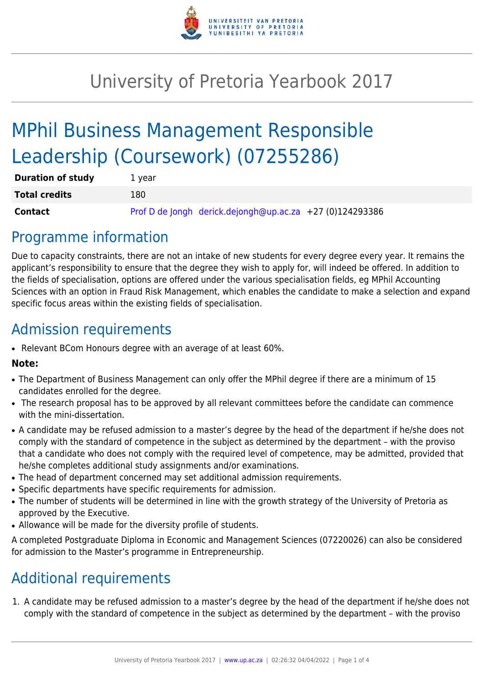

# University of Pretoria Yearbook 2017

# MPhil Business Management Responsible Leadership (Coursework) (07255286)

| <b>Duration of study</b> | 1 year |                                                          |  |
|--------------------------|--------|----------------------------------------------------------|--|
| <b>Total credits</b>     | 180    |                                                          |  |
| <b>Contact</b>           |        | Prof D de Jongh derick.dejongh@up.ac.za +27 (0)124293386 |  |

### Programme information

Due to capacity constraints, there are not an intake of new students for every degree every year. It remains the applicant's responsibility to ensure that the degree they wish to apply for, will indeed be offered. In addition to the fields of specialisation, options are offered under the various specialisation fields, eg MPhil Accounting Sciences with an option in Fraud Risk Management, which enables the candidate to make a selection and expand specific focus areas within the existing fields of specialisation.

### Admission requirements

• Relevant BCom Honours degree with an average of at least 60%.

#### **Note:**

- The Department of Business Management can only offer the MPhil degree if there are a minimum of 15 candidates enrolled for the degree.
- The research proposal has to be approved by all relevant committees before the candidate can commence with the mini-dissertation.
- A candidate may be refused admission to a master's degree by the head of the department if he/she does not comply with the standard of competence in the subject as determined by the department – with the proviso that a candidate who does not comply with the required level of competence, may be admitted, provided that he/she completes additional study assignments and/or examinations.
- The head of department concerned may set additional admission requirements.
- Specific departments have specific requirements for admission.
- The number of students will be determined in line with the growth strategy of the University of Pretoria as approved by the Executive.
- Allowance will be made for the diversity profile of students.

A completed Postgraduate Diploma in Economic and Management Sciences (07220026) can also be considered for admission to the Master's programme in Entrepreneurship.

## Additional requirements

1. A candidate may be refused admission to a master's degree by the head of the department if he/she does not comply with the standard of competence in the subject as determined by the department – with the proviso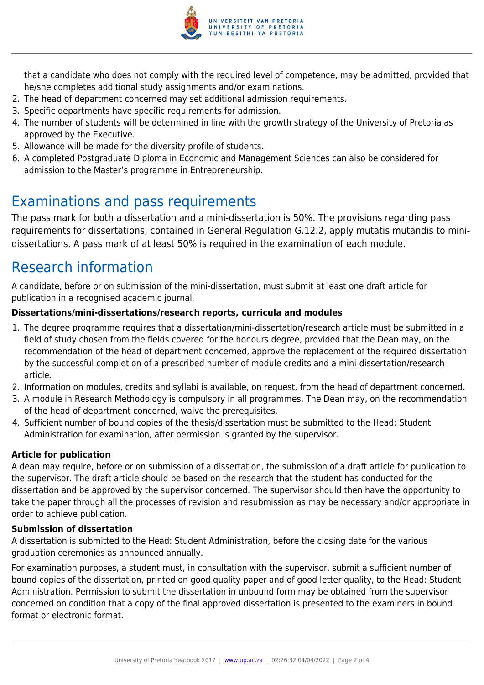

that a candidate who does not comply with the required level of competence, may be admitted, provided that he/she completes additional study assignments and/or examinations.

- 2. The head of department concerned may set additional admission requirements.
- 3. Specific departments have specific requirements for admission.
- 4. The number of students will be determined in line with the growth strategy of the University of Pretoria as approved by the Executive.
- 5. Allowance will be made for the diversity profile of students.
- 6. A completed Postgraduate Diploma in Economic and Management Sciences can also be considered for admission to the Master's programme in Entrepreneurship.

## Examinations and pass requirements

The pass mark for both a dissertation and a mini-dissertation is 50%. The provisions regarding pass requirements for dissertations, contained in General Regulation G.12.2, apply mutatis mutandis to minidissertations. A pass mark of at least 50% is required in the examination of each module.

## Research information

A candidate, before or on submission of the mini-dissertation, must submit at least one draft article for publication in a recognised academic journal.

### **Dissertations/mini-dissertations/research reports, curricula and modules**

- 1. The degree programme requires that a dissertation/mini-dissertation/research article must be submitted in a field of study chosen from the fields covered for the honours degree, provided that the Dean may, on the recommendation of the head of department concerned, approve the replacement of the required dissertation by the successful completion of a prescribed number of module credits and a mini-dissertation/research article.
- 2. Information on modules, credits and syllabi is available, on request, from the head of department concerned.
- 3. A module in Research Methodology is compulsory in all programmes. The Dean may, on the recommendation of the head of department concerned, waive the prerequisites.
- 4. Sufficient number of bound copies of the thesis/dissertation must be submitted to the Head: Student Administration for examination, after permission is granted by the supervisor.

### **Article for publication**

A dean may require, before or on submission of a dissertation, the submission of a draft article for publication to the supervisor. The draft article should be based on the research that the student has conducted for the dissertation and be approved by the supervisor concerned. The supervisor should then have the opportunity to take the paper through all the processes of revision and resubmission as may be necessary and/or appropriate in order to achieve publication.

### **Submission of dissertation**

A dissertation is submitted to the Head: Student Administration, before the closing date for the various graduation ceremonies as announced annually.

For examination purposes, a student must, in consultation with the supervisor, submit a sufficient number of bound copies of the dissertation, printed on good quality paper and of good letter quality, to the Head: Student Administration. Permission to submit the dissertation in unbound form may be obtained from the supervisor concerned on condition that a copy of the final approved dissertation is presented to the examiners in bound format or electronic format.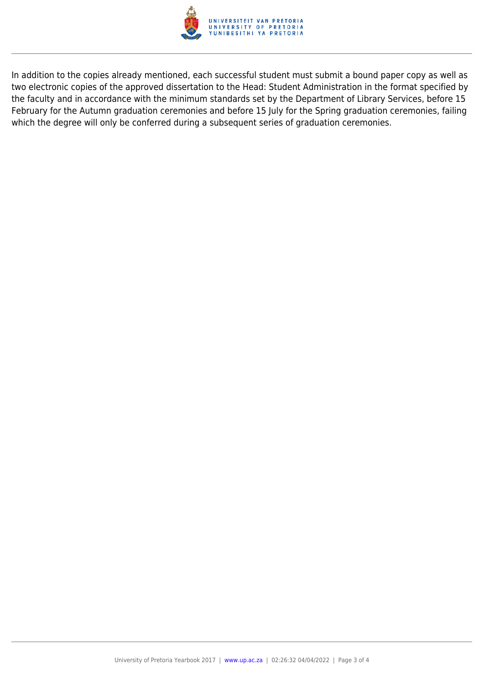

In addition to the copies already mentioned, each successful student must submit a bound paper copy as well as two electronic copies of the approved dissertation to the Head: Student Administration in the format specified by the faculty and in accordance with the minimum standards set by the Department of Library Services, before 15 February for the Autumn graduation ceremonies and before 15 July for the Spring graduation ceremonies, failing which the degree will only be conferred during a subsequent series of graduation ceremonies.